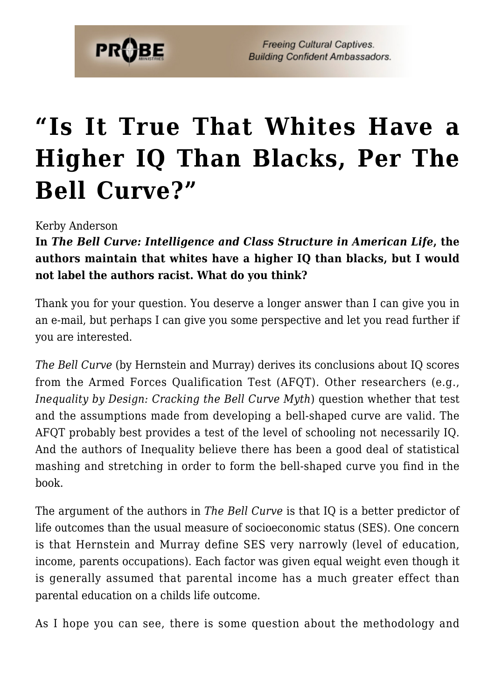

**Freeing Cultural Captives. Building Confident Ambassadors.** 

## **["Is It True That Whites Have a](https://probe.org/is-it-true-that-whites-have-a-higher-iq-than-blacks-per-the-bell-curve/) [Higher IQ Than Blacks, Per The](https://probe.org/is-it-true-that-whites-have-a-higher-iq-than-blacks-per-the-bell-curve/) [Bell Curve?"](https://probe.org/is-it-true-that-whites-have-a-higher-iq-than-blacks-per-the-bell-curve/)**

Kerby Anderson

**In** *The Bell Curve: Intelligence and Class Structure in American Life***, the authors maintain that whites have a higher IQ than blacks, but I would not label the authors racist. What do you think?**

Thank you for your question. You deserve a longer answer than I can give you in an e-mail, but perhaps I can give you some perspective and let you read further if you are interested.

*The Bell Curve* (by Hernstein and Murray) derives its conclusions about IQ scores from the Armed Forces Qualification Test (AFQT). Other researchers (e.g., *Inequality by Design: Cracking the Bell Curve Myth*) question whether that test and the assumptions made from developing a bell-shaped curve are valid. The AFQT probably best provides a test of the level of schooling not necessarily IQ. And the authors of Inequality believe there has been a good deal of statistical mashing and stretching in order to form the bell-shaped curve you find in the book.

The argument of the authors in *The Bell Curve* is that IQ is a better predictor of life outcomes than the usual measure of socioeconomic status (SES). One concern is that Hernstein and Murray define SES very narrowly (level of education, income, parents occupations). Each factor was given equal weight even though it is generally assumed that parental income has a much greater effect than parental education on a childs life outcome.

As I hope you can see, there is some question about the methodology and